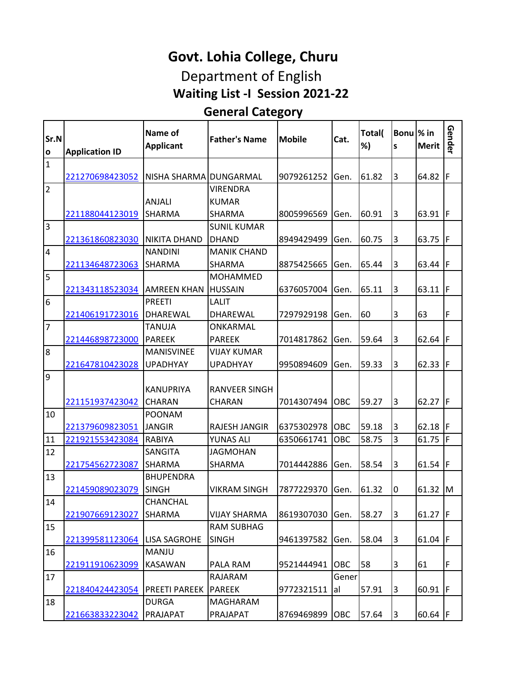### **Waiting List -I Session 2021-22 Govt. Lohia College, Churu** Department of English

#### **General Category**

| Sr.N<br>$\mathbf{o}$ | <b>Application ID</b> | Name of<br><b>Applicant</b> | <b>Father's Name</b> | <b>Mobile</b> | Cat.  | Total(<br>%) | Bonu \% in<br>S | <b>Merit</b> | Gender |
|----------------------|-----------------------|-----------------------------|----------------------|---------------|-------|--------------|-----------------|--------------|--------|
| $\mathbf{1}$         | 221270698423052       | NISHA SHARMA DUNGARMAL      |                      | 9079261252    | Gen.  | 61.82        | 3               | 64.82        | F      |
| $\overline{2}$       |                       |                             | VIRENDRA             |               |       |              |                 |              |        |
|                      |                       | <b>ANJALI</b>               | <b>KUMAR</b>         |               |       |              |                 |              |        |
|                      | 221188044123019       | <b>SHARMA</b>               | <b>SHARMA</b>        | 8005996569    | Gen.  | 60.91        | 3               | 63.91   F    |        |
| 3                    |                       |                             | <b>SUNIL KUMAR</b>   |               |       |              |                 |              |        |
|                      | 221361860823030       | <b>NIKITA DHAND</b>         | <b>DHAND</b>         | 8949429499    | Gen.  | 60.75        | 3               | 63.75        | IF     |
| $\overline{4}$       |                       | <b>NANDINI</b>              | <b>MANIK CHAND</b>   |               |       |              |                 |              |        |
|                      | 221134648723063       | SHARMA                      | <b>SHARMA</b>        | 8875425665    | Gen.  | 65.44        | 3               | 63.44        | F      |
| 5                    |                       |                             | <b>MOHAMMED</b>      |               |       |              |                 |              |        |
|                      | 221343118523034       | <b>AMREEN KHAN</b>          | <b>HUSSAIN</b>       | 6376057004    | Gen.  | 65.11        | 3               | 63.11        | IF     |
| 6                    |                       | <b>PREETI</b>               | LALIT                |               |       |              |                 |              |        |
|                      | 221406191723016       | <b>DHARFWAL</b>             | DHAREWAL             | 7297929198    | Gen.  | 60           | 3               | 63           | F      |
| $\overline{7}$       |                       | <b>TANUJA</b>               | ONKARMAL             |               |       |              |                 |              |        |
|                      | 221446898723000       | <b>PARFFK</b>               | <b>PAREEK</b>        | 7014817862    | Gen.  | 59.64        | 3               | 62.64        | F      |
| $\overline{8}$       |                       | <b>MANISVINEE</b>           | <b>VIJAY KUMAR</b>   |               |       |              |                 |              |        |
|                      | 221647810423028       | <b>UPADHYAY</b>             | <b>UPADHYAY</b>      | 9950894609    | Gen.  | 59.33        | 3               | 62.33   F    |        |
| 9                    |                       | <b>KANUPRIYA</b>            | <b>RANVEER SINGH</b> |               |       |              |                 |              |        |
|                      | 221151937423042       | <b>CHARAN</b>               | <b>CHARAN</b>        | 7014307494    | OBC   | 59.27        | 3               | 62.27        | IF     |
| 10                   |                       | <b>POONAM</b>               |                      |               |       |              |                 |              |        |
|                      | 221379609823051       | <b>JANGIR</b>               | RAJESH JANGIR        | 6375302978    | OBC   | 59.18        | 3               | 62.18        | IF     |
| 11                   | 221921553423084       | <b>RABIYA</b>               | <b>YUNAS ALI</b>     | 6350661741    | OBC   | 58.75        | 3               | 61.75        | F      |
| 12                   |                       | <b>SANGITA</b>              | <b>JAGMOHAN</b>      |               |       |              |                 |              |        |
| 13                   | 221754562723087       | SHARMA<br><b>BHUPENDRA</b>  | <b>SHARMA</b>        | 7014442886    | Gen.  | 58.54        | 3               | $61.54$ F    |        |
|                      | 221459089023079       | <b>SINGH</b>                | <b>VIKRAM SINGH</b>  | 7877229370    | Gen.  | 61.32        | 0               | 61.32        | IM     |
| 14                   |                       | <b>CHANCHAL</b>             |                      |               |       |              |                 |              |        |
|                      | 221907669123027       | <b>SHARMA</b>               | <b>VIJAY SHARMA</b>  | 8619307030    | Gen.  | 58.27        | 3               | 61.27 $F$    |        |
| 15                   |                       |                             | <b>RAM SUBHAG</b>    |               |       |              |                 |              |        |
|                      | 221399581123064       | <b>LISA SAGROHE</b>         | <b>SINGH</b>         | 9461397582    | Gen.  | 58.04        | 3               | 61.04 $F$    |        |
| 16                   |                       | MANJU                       |                      |               |       |              |                 |              |        |
|                      | 221911910623099       | <b>KASAWAN</b>              | PALA RAM             | 9521444941    | OBC   | 58           | 3               | 61           | F      |
| 17                   |                       |                             | RAJARAM              |               | Gener |              |                 |              |        |
|                      | 221840424423054       | PREETI PAREEK               | PAREEK               | 9772321511    | al    | 57.91        | 3               | 60.91 $ F $  |        |
| 18                   |                       | <b>DURGA</b>                | MAGHARAM             |               |       |              |                 |              |        |
|                      | 221663833223042       | PRAJAPAT                    | PRAJAPAT             | 8769469899    | OBC   | 57.64        | 3               | $60.64$ F    |        |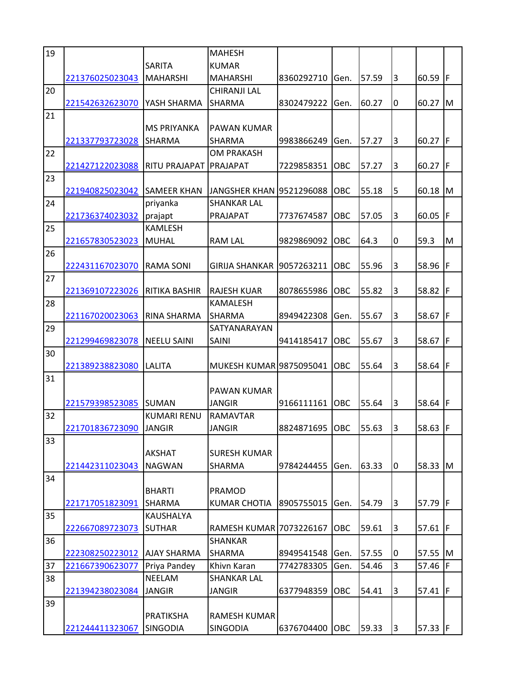| 19 |                 |                      | <b>MAHESH</b>             |            |            |       |   |             |     |
|----|-----------------|----------------------|---------------------------|------------|------------|-------|---|-------------|-----|
|    |                 | <b>SARITA</b>        | <b>KUMAR</b>              |            |            |       |   |             |     |
|    | 221376025023043 | <b>MAHARSHI</b>      | <b>MAHARSHI</b>           | 8360292710 | Gen.       | 57.59 | 3 | 60.59       | IF  |
| 20 |                 |                      | <b>CHIRANJI LAL</b>       |            |            |       |   |             |     |
|    | 221542632623070 | YASH SHARMA          | SHARMA                    | 8302479222 | Gen.       | 60.27 | 0 | 60.27 M     |     |
| 21 |                 |                      |                           |            |            |       |   |             |     |
|    |                 | <b>MS PRIYANKA</b>   | PAWAN KUMAR               |            |            |       |   |             |     |
|    | 221337793723028 | <b>SHARMA</b>        | <b>SHARMA</b>             | 9983866249 | Gen.       | 57.27 | 3 | 60.27   F   |     |
| 22 |                 |                      | <b>OM PRAKASH</b>         |            |            |       |   |             |     |
|    | 221427122023088 | RITU PRAJAPAT        | PRAJAPAT                  | 7229858351 | OBC        | 57.27 | 3 | 60.27   F   |     |
| 23 |                 |                      |                           |            |            |       |   |             |     |
|    | 221940825023042 | <b>I</b> SAMEER KHAN | JANGSHER KHAN 19521296088 |            | OBC        | 55.18 | 5 | 60.18       | M   |
| 24 |                 | priyanka             | <b>SHANKAR LAL</b>        |            |            |       |   |             |     |
|    | 221736374023032 | prajapt              | PRAJAPAT                  | 7737674587 | OBC        | 57.05 | 3 | 60.05       | F   |
| 25 |                 | KAMLESH              |                           |            |            |       |   |             |     |
|    | 221657830523023 | <b>MUHAL</b>         | <b>RAM LAL</b>            | 9829869092 | OBC        | 64.3  | 0 | 59.3        | M   |
| 26 |                 |                      |                           |            |            |       |   |             |     |
|    | 222431167023070 | <b>RAMA SONI</b>     | <b>GIRIJA SHANKAR</b>     | 9057263211 | OBC        | 55.96 | 3 | 58.96       | F   |
| 27 |                 |                      |                           |            |            |       |   |             |     |
|    |                 |                      |                           |            |            |       |   | 58.82 F     |     |
|    | 221369107223026 | RITIKA BASHIR        | <b>RAJESH KUAR</b>        | 8078655986 | OBC        | 55.82 | 3 |             |     |
| 28 |                 |                      | <b>KAMALESH</b>           |            |            |       |   |             |     |
|    | 221167020023063 | RINA SHARMA          | SHARMA                    | 8949422308 | Gen.       | 55.67 | 3 | 58.67       | IF  |
| 29 |                 |                      | SATYANARAYAN              |            |            |       |   |             |     |
|    | 221299469823078 | <b>NEELU SAINI</b>   | SAINI                     | 9414185417 | OBC        | 55.67 | 3 | 58.67 F     |     |
| 30 |                 |                      |                           |            |            |       |   |             |     |
|    | 221389238823080 | LALITA               | MUKESH KUMAR 9875095041   |            | OBC        | 55.64 | 3 | 58.64       | IF  |
| 31 |                 |                      |                           |            |            |       |   |             |     |
|    |                 |                      | PAWAN KUMAR               |            |            |       |   |             |     |
|    | 221579398523085 | <b>ISUMAN</b>        | <b>JANGIR</b>             | 9166111161 | OBC        | 55.64 | 3 | 58.64 $ F $ |     |
| 32 |                 | <b>KUMARI RENU</b>   | <b>RAMAVTAR</b>           |            |            |       |   |             |     |
|    | 221701836723090 | <b>JANGIR</b>        | <b>JANGIR</b>             | 8824871695 | <b>OBC</b> | 55.63 | 3 | 58.63 F     |     |
| 33 |                 |                      |                           |            |            |       |   |             |     |
|    |                 | <b>AKSHAT</b>        | <b>SURESH KUMAR</b>       |            |            |       |   |             |     |
|    | 221442311023043 | <b>NAGWAN</b>        | <b>SHARMA</b>             | 9784244455 | Gen.       | 63.33 | 0 | 58.33       | ΙM  |
| 34 |                 |                      |                           |            |            |       |   |             |     |
|    |                 | <b>BHARTI</b>        | <b>PRAMOD</b>             |            |            |       |   |             |     |
|    | 221717051823091 | <b>SHARMA</b>        | <b>KUMAR CHOTIA</b>       | 8905755015 | Gen.       | 54.79 | 3 | 57.79 $F$   |     |
| 35 |                 | KAUSHALYA            |                           |            |            |       |   |             |     |
|    | 222667089723073 | <b>SUTHAR</b>        | RAMESH KUMAR 7073226167   |            | OBC        | 59.61 | 3 | 57.61 $ F $ |     |
| 36 |                 |                      | <b>SHANKAR</b>            |            |            |       |   |             |     |
|    | 222308250223012 | <b>AJAY SHARMA</b>   | <b>SHARMA</b>             | 8949541548 | Gen.       | 57.55 | 0 | 57.55       | IM. |
| 37 | 221667390623077 | Priya Pandey         | Khivn Karan               | 7742783305 | Gen.       | 54.46 | 3 | 57.46       | IF  |
| 38 |                 | <b>NEELAM</b>        | <b>SHANKAR LAL</b>        |            |            |       |   |             |     |
|    | 221394238023084 | <b>JANGIR</b>        | <b>JANGIR</b>             | 6377948359 | OBC        | 54.41 | 3 | 57.41 $ F $ |     |
| 39 |                 |                      |                           |            |            |       |   |             |     |
|    |                 | <b>PRATIKSHA</b>     | <b>RAMESH KUMAR</b>       |            |            |       |   |             |     |
|    | 221244411323067 | <b>SINGODIA</b>      | <b>SINGODIA</b>           | 6376704400 | OBC        | 59.33 | 3 | 57.33 $F$   |     |
|    |                 |                      |                           |            |            |       |   |             |     |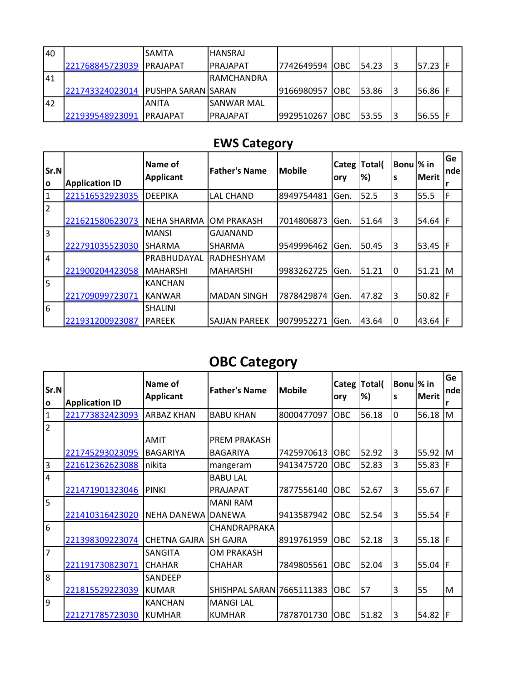| 40        |                                    | <b>SAMTA</b> | <b>HANSRAJ</b>  |                |             |        |        |  |
|-----------|------------------------------------|--------------|-----------------|----------------|-------------|--------|--------|--|
|           | 221768845723039 PRAJAPAT           |              | <b>PRAJAPAT</b> | 7742649594 OBC |             | 154.23 | 57.23  |  |
| I41       |                                    |              | IRAMCHANDRA     |                |             |        |        |  |
|           | 221743324023014 PUSHPA SARAN SARAN |              |                 | 9166980957     | <b>IOBC</b> | 153.86 | 56.86  |  |
| <b>42</b> |                                    | ANITA        | ISANWAR MAL     |                |             |        |        |  |
|           | 221939548923091                    | IPRAIAPAT    | <b>PRAJAPAT</b> | 9929510267     | <b>IOBC</b> | 153.55 | 156.55 |  |

#### **EWS Category**

| $\mathsf{Sr.N}$<br>lo | <b>Application ID</b> | Name of<br><b>Applicant</b> | <b>Father's Name</b> | <b>Mobile</b> | <b>Categ</b><br>ory | Total(<br>%) | Bonul% in<br>S | <b>Merit</b> | Ge<br><b>nde</b> |
|-----------------------|-----------------------|-----------------------------|----------------------|---------------|---------------------|--------------|----------------|--------------|------------------|
| 1                     | 221516532923035       | DEEPIKA                     | <b>LAL CHAND</b>     | 8949754481    | Gen.                | 52.5         | 3              | 55.5         | F                |
| $\overline{2}$        | 221621580623073       | NEHA SHARMA                 | <b>OM PRAKASH</b>    | 7014806873    | Gen.                | 51.64        | 3              | 54.64        |                  |
| 3                     |                       | <b>MANSI</b>                | <b>GAJANAND</b>      |               |                     |              |                |              |                  |
|                       | 222791035523030       | <b>SHARMA</b>               | <b>SHARMA</b>        | 9549996462    | Gen.                | 50.45        | 3              | 53.45        | IF               |
| 4                     |                       | PRABHUDAYAL                 | <b>RADHESHYAM</b>    |               |                     |              |                |              |                  |
|                       | 221900204423058       | IMAHARSHI                   | <b>MAHARSHI</b>      | 9983262725    | Gen.                | 51.21        | 0              | 51.21        | ΙM               |
| 5                     |                       | <b>KANCHAN</b>              |                      |               |                     |              |                |              |                  |
|                       | 221709099723071       | IKANWAR                     | <b>MADAN SINGH</b>   | 7878429874    | Gen.                | 47.82        | 3              | 50.82        |                  |
| 6                     |                       | <b>SHALINI</b>              |                      |               |                     |              |                |              |                  |
|                       | 221931200923087       | <b>PAREEK</b>               | <b>SAJJAN PAREEK</b> | 9079952271    | Gen.                | 43.64        | 0              | 43.64 F      |                  |

## **OBC Category**

| Sr.N<br>O      | <b>Application ID</b> | Name of<br><b>Applicant</b> | <b>Father's Name</b>      | <b>Mobile</b> | Categ<br>ory | Total(<br>%) | Bonu  % in<br>s | <b>Merit</b> | Ge<br>nde<br>r |
|----------------|-----------------------|-----------------------------|---------------------------|---------------|--------------|--------------|-----------------|--------------|----------------|
| $\mathbf{1}$   | 221773832423093       | <b>ARBAZ KHAN</b>           | <b>BABU KHAN</b>          | 8000477097    | OBC          | 56.18        | 0               | 56.18        | lм             |
| $\overline{2}$ |                       |                             |                           |               |              |              |                 |              |                |
|                |                       | <b>AMIT</b>                 | PREM PRAKASH              |               |              |              |                 |              |                |
|                | 221745293023095       | BAGARIYA                    | <b>BAGARIYA</b>           | 7425970613    | OBC          | 52.92        | 3               | 55.92        | M              |
| $\overline{3}$ | 221612362623088       | nikita                      | mangeram                  | 9413475720    | OBC          | 52.83        | 3               | 55.83        | F              |
| $\overline{4}$ |                       |                             | <b>BABU LAL</b>           |               |              |              |                 |              |                |
|                | 221471901323046       | <b>PINKI</b>                | PRAJAPAT                  | 7877556140    | OBC          | 52.67        | 3               | 55.67        | F              |
| 5              |                       |                             | <b>MANI RAM</b>           |               |              |              |                 |              |                |
|                | 221410316423020       | NEHA DANEWA                 | <b>DANEWA</b>             | 9413587942    | OBC          | 52.54        | 3               | 55.54        | F              |
| l6             |                       |                             | CHANDRAPRAKA              |               |              |              |                 |              |                |
|                | 221398309223074       | CHETNA GAJRA                | <b>SH GAJRA</b>           | 8919761959    | OBC          | 52.18        | 3               | 55.18        | F              |
| $\overline{7}$ |                       | <b>SANGITA</b>              | <b>OM PRAKASH</b>         |               |              |              |                 |              |                |
|                | 221191730823071       | <b>CHAHAR</b>               | <b>CHAHAR</b>             | 7849805561    | OBC          | 52.04        | 3               | 55.04        | F              |
| l8             |                       | SANDEEP                     |                           |               |              |              |                 |              |                |
|                | 221815529223039       | KUMAR                       | SHISHPAL SARAN 7665111383 |               | OBC          | 57           | 3               | 55           | M              |
| وا             |                       | <b>KANCHAN</b>              | <b>MANGI LAL</b>          |               |              |              |                 |              |                |
|                | 221271785723030       | KUMHAR                      | <b>KUMHAR</b>             | 7878701730    | OBC          | 51.82        | 3               | 54.82        | F              |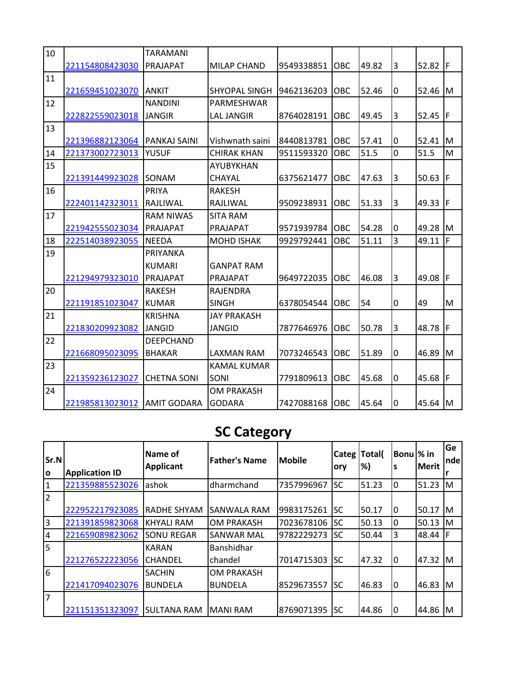| 10 |                 | TARAMANI            |                      |            |            |       |   |           |     |
|----|-----------------|---------------------|----------------------|------------|------------|-------|---|-----------|-----|
|    | 221154808423030 | PRAJAPAT            | <b>MILAP CHAND</b>   | 9549338851 | <b>OBC</b> | 49.82 | 3 | 52.82   F |     |
| 11 |                 |                     |                      |            |            |       |   |           |     |
|    | 221659451023070 | <b>ANKIT</b>        | <b>SHYOPAL SINGH</b> | 9462136203 | OBC        | 52.46 | 0 | 52.46     | lМ  |
| 12 |                 | <b>NANDINI</b>      | PARMESHWAR           |            |            |       |   |           |     |
|    | 222822559023018 | <b>JANGIR</b>       | <b>LAL JANGIR</b>    | 8764028191 | OBC        | 49.45 | 3 | 52.45  F  |     |
| 13 |                 |                     |                      |            |            |       |   |           |     |
|    | 221396882123064 | PANKAJ SAINI        | Vishwnath saini      | 8440813781 | OBC        | 57.41 | 0 | 52.41     | ΙM  |
| 14 | 221373002723013 | YUSUF               | <b>CHIRAK KHAN</b>   | 9511593320 | OBC        | 51.5  | 0 | 51.5      | M   |
| 15 |                 |                     | AYUBYKHAN            |            |            |       |   |           |     |
|    | 221391449923028 | <b>SONAM</b>        | CHAYAL               | 6375621477 | OBC        | 47.63 | 3 | 50.63     | IF  |
| 16 |                 | PRIYA               | <b>RAKESH</b>        |            |            |       |   |           |     |
|    | 222401142323011 | RAJLIWAL            | RAJLIWAL             | 9509238931 | OBC        | 51.33 | 3 | 49.33     | IF  |
| 17 |                 | <b>RAM NIWAS</b>    | <b>SITA RAM</b>      |            |            |       |   |           |     |
|    | 221942555023034 | PRAJAPAT            | PRAJAPAT             | 9571939784 | OBC        | 54.28 | 0 | 49.28     | IM  |
| 18 | 222514038923055 | <b>NEEDA</b>        | <b>MOHD ISHAK</b>    | 9929792441 | <b>OBC</b> | 51.11 | 3 | 49.11     | F   |
| 19 |                 | PRIYANKA            |                      |            |            |       |   |           |     |
|    |                 | <b>KUMARI</b>       | <b>GANPAT RAM</b>    |            |            |       |   |           |     |
|    | 221294979323010 | PRAJAPAT            | PRAJAPAT             | 9649722035 | <b>OBC</b> | 46.08 | 3 | 49.08     | F   |
| 20 |                 | <b>RAKESH</b>       | <b>RAJENDRA</b>      |            |            |       |   |           |     |
|    | 221191851023047 | <b>KUMAR</b>        | <b>SINGH</b>         | 6378054544 | <b>OBC</b> | 54    | 0 | 49        | M   |
| 21 |                 | <b>KRISHNA</b>      | <b>JAY PRAKASH</b>   |            |            |       |   |           |     |
|    | 221830209923082 | JANGID              | <b>JANGID</b>        | 7877646976 | OBC        | 50.78 | 3 | 48.78     | F   |
| 22 |                 | <b>DEEPCHAND</b>    |                      |            |            |       |   |           |     |
|    | 221668095023095 | <b>BHAKAR</b>       | LAXMAN RAM           | 7073246543 | OBC        | 51.89 | 0 | 46.89     | M   |
| 23 |                 |                     | <b>KAMAL KUMAR</b>   |            |            |       |   |           |     |
|    | 221359236123027 | <b>CHETNA SONI</b>  | SONI                 | 7791809613 | OBC        | 45.68 | 0 | 45.68     | IF. |
| 24 |                 |                     | <b>OM PRAKASH</b>    |            |            |       |   |           |     |
|    | 221985813023012 | <b>JAMIT GODARA</b> | <b>GODARA</b>        | 7427088168 | OBC        | 45.64 | 0 | 45.64 M   |     |

# **SC Category**

| $\mathsf{Sr.N}$<br>١o | <b>Application ID</b> | lName of<br><b>Applicant</b> | <b>Father's Name</b> | <b>Mobile</b> | Categ<br>ory | Total(<br>%) | Bonu  % in<br>۱S | <b>Merit</b> | Ge<br> nde |
|-----------------------|-----------------------|------------------------------|----------------------|---------------|--------------|--------------|------------------|--------------|------------|
| 1                     | 221359885523026       | lashok                       | dharmchand           | 7357996967    | <b>SC</b>    | 51.23        | 0                | 51.23        | M          |
| $\overline{2}$        |                       |                              |                      |               |              |              |                  |              |            |
|                       | 222952217923085       | RADHE SHYAM                  | <b>SANWALA RAM</b>   | 9983175261    | <b>SC</b>    | 50.17        | ١O               | 50.17        | ΙM         |
| 3                     | 221391859823068       | KHYALI RAM                   | <b>OM PRAKASH</b>    | 7023678106    | <b>SC</b>    | 50.13        | 0                | 50.13        | M          |
| $\overline{4}$        | 221659089823062       | <b>SONU REGAR</b>            | <b>SANWAR MAL</b>    | 9782229273    | <b>SC</b>    | 50.44        | 3                | 48.44        | F          |
| 5                     |                       | <b>KARAN</b>                 | Banshidhar           |               |              |              |                  |              |            |
|                       | 221276522223056       | <b>CHANDEL</b>               | chandel              | 7014715303    | <b>SC</b>    | 47.32        | I۵               | 47.32        | ΙM         |
| 6                     |                       | <b>SACHIN</b>                | <b>OM PRAKASH</b>    |               |              |              |                  |              |            |
|                       | 221417094023076       | <b>BUNDELA</b>               | <b>BUNDELA</b>       | 8529673557    | <b>SC</b>    | 46.83        | 10               | 46.83        | ΙM         |
| 17                    |                       |                              |                      |               |              |              |                  |              |            |
|                       | 221151351323097       | <b>SULTANA RAM</b>           | <b>MANI RAM</b>      | 8769071395    | <b>SC</b>    | 44.86        |                  | 44.86        | ΙM         |